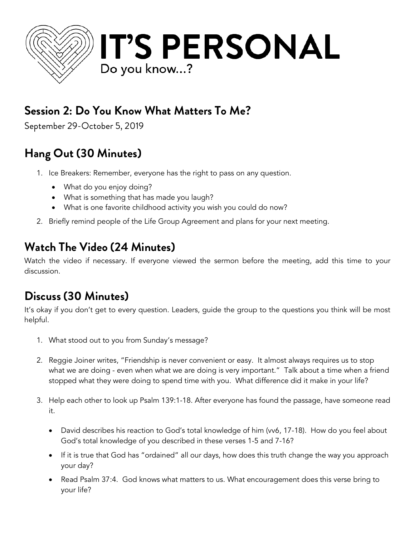

### **Session 2: Do You Know What Matters To Me?**

September 29-October 5, 2019

# **Hang Out (30 Minutes)**

- 1. Ice Breakers: Remember, everyone has the right to pass on any question.
	- What do you enjoy doing?
	- What is something that has made you laugh?
	- What is one favorite childhood activity you wish you could do now?
- 2. Briefly remind people of the Life Group Agreement and plans for your next meeting.

### **Watch The Video (24 Minutes)**

Watch the video if necessary. If everyone viewed the sermon before the meeting, add this time to your discussion.

## **Discuss (30 Minutes)**

It's okay if you don't get to every question. Leaders, guide the group to the questions you think will be most helpful.

- 1. What stood out to you from Sunday's message?
- 2. Reggie Joiner writes, "Friendship is never convenient or easy. It almost always requires us to stop what we are doing - even when what we are doing is very important." Talk about a time when a friend stopped what they were doing to spend time with you. What difference did it make in your life?
- 3. Help each other to look up Psalm 139:1-18. After everyone has found the passage, have someone read it.
	- David describes his reaction to God's total knowledge of him (vv6, 17-18). How do you feel about God's total knowledge of you described in these verses 1-5 and 7-16?
	- If it is true that God has "ordained" all our days, how does this truth change the way you approach your day?
	- Read Psalm 37:4. God knows what matters to us. What encouragement does this verse bring to your life?